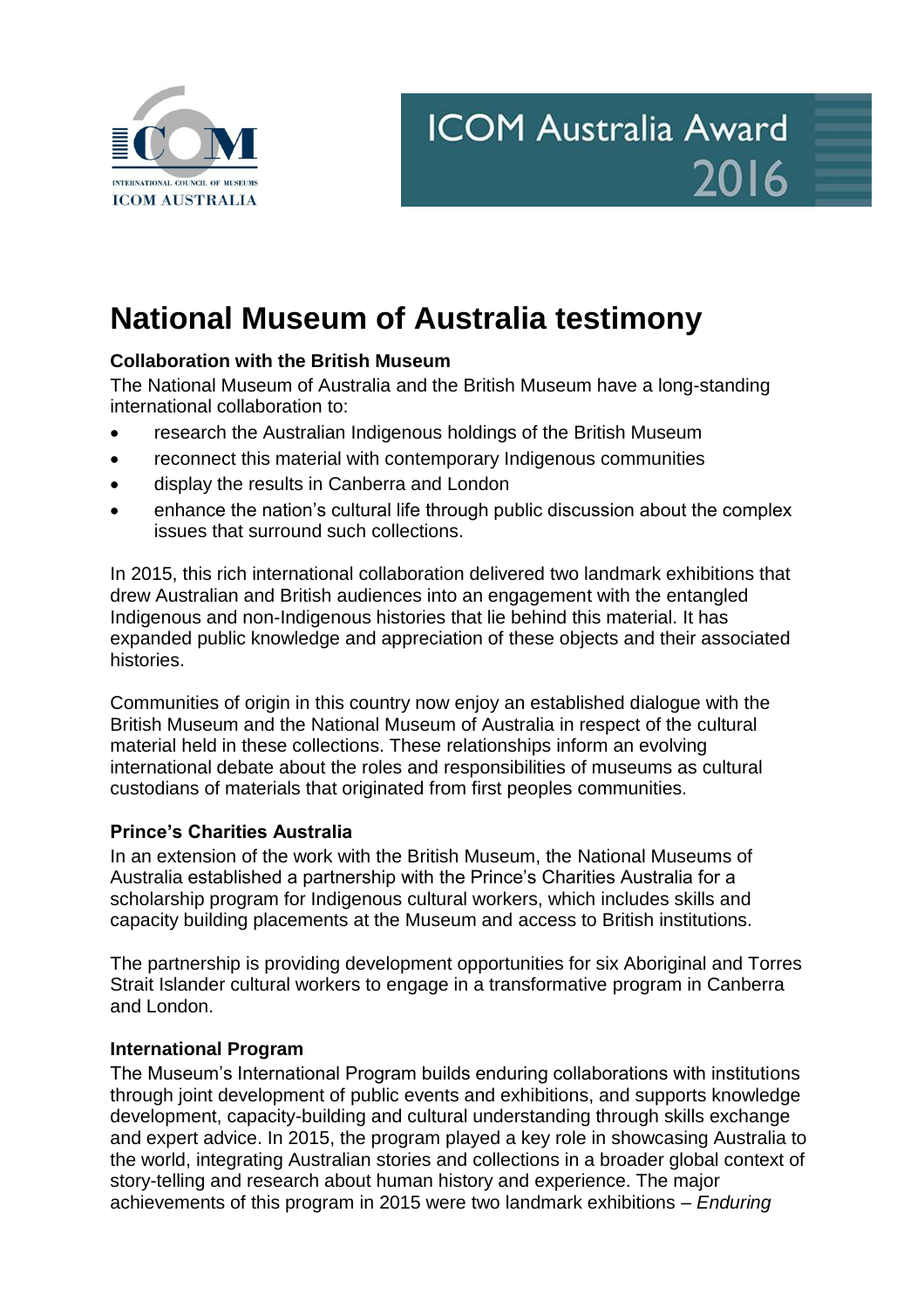

## **National Museum of Australia testimony**

## **Collaboration with the British Museum**

The National Museum of Australia and the British Museum have a long-standing international collaboration to:

- research the Australian Indigenous holdings of the British Museum
- reconnect this material with contemporary Indigenous communities
- display the results in Canberra and London
- enhance the nation's cultural life through public discussion about the complex issues that surround such collections.

In 2015, this rich international collaboration delivered two landmark exhibitions that drew Australian and British audiences into an engagement with the entangled Indigenous and non-Indigenous histories that lie behind this material. It has expanded public knowledge and appreciation of these objects and their associated histories.

Communities of origin in this country now enjoy an established dialogue with the British Museum and the National Museum of Australia in respect of the cultural material held in these collections. These relationships inform an evolving international debate about the roles and responsibilities of museums as cultural custodians of materials that originated from first peoples communities.

## **Prince's Charities Australia**

In an extension of the work with the British Museum, the National Museums of Australia established a partnership with the Prince's Charities Australia for a scholarship program for Indigenous cultural workers, which includes skills and capacity building placements at the Museum and access to British institutions.

The partnership is providing development opportunities for six Aboriginal and Torres Strait Islander cultural workers to engage in a transformative program in Canberra and London.

## **International Program**

The Museum's International Program builds enduring collaborations with institutions through joint development of public events and exhibitions, and supports knowledge development, capacity-building and cultural understanding through skills exchange and expert advice. In 2015, the program played a key role in showcasing Australia to the world, integrating Australian stories and collections in a broader global context of story-telling and research about human history and experience. The major achievements of this program in 2015 were two landmark exhibitions – *Enduring*